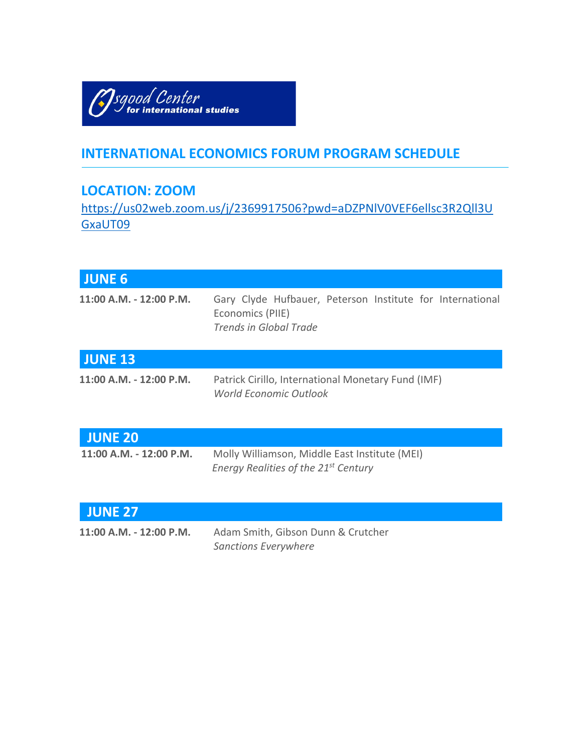

# **INTERNATIONAL ECONOMICS FORUM PROGRAM SCHEDULE**

# **LOCATION: ZOOM**

https://us02web.zoom.us/j/2369917506?pwd=aDZPNlV0VEF6ellsc3R2Qll3U GxaUT09

| <b>JUNE 6</b>           |                                                                                                                |
|-------------------------|----------------------------------------------------------------------------------------------------------------|
| 11:00 A.M. - 12:00 P.M. | Gary Clyde Hufbauer, Peterson Institute for International<br>Economics (PIIE)<br><b>Trends in Global Trade</b> |
| <b>JUNE 13</b>          |                                                                                                                |
| 11:00 A.M. - 12:00 P.M. | Patrick Cirillo, International Monetary Fund (IMF)<br><b>World Economic Outlook</b>                            |
| <b>JUNE 20</b>          |                                                                                                                |
| 11:00 A.M. - 12:00 P.M. | Molly Williamson, Middle East Institute (MEI)<br>Energy Realities of the 21 <sup>st</sup> Century              |
| <b>JUNE 27</b>          |                                                                                                                |
| 11:00 A.M. - 12:00 P.M. | Adam Smith, Gibson Dunn & Crutcher<br><b>Sanctions Everywhere</b>                                              |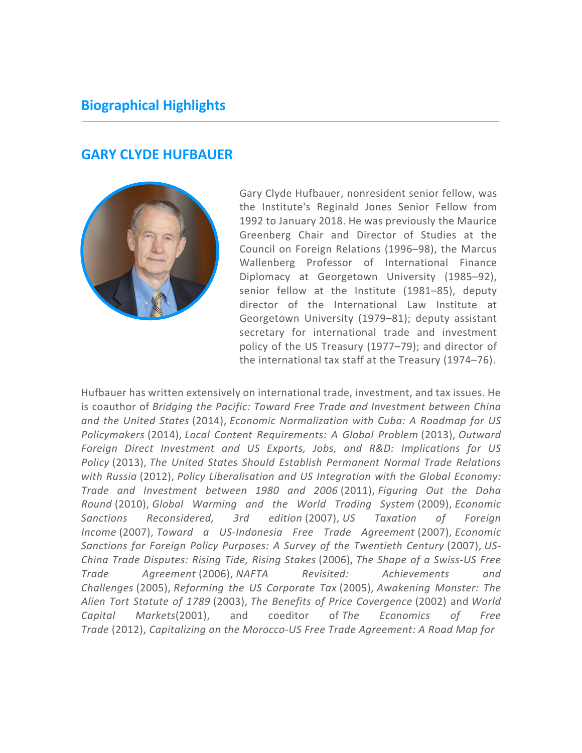## **Biographical Highlights**

#### **GARY CLYDE HUFBAUER**



Gary Clyde Hufbauer, nonresident senior fellow, was the Institute's Reginald Jones Senior Fellow from 1992 to January 2018. He was previously the Maurice Greenberg Chair and Director of Studies at the Council on Foreign Relations (1996–98), the Marcus Wallenberg Professor of International Finance Diplomacy at Georgetown University (1985–92), senior fellow at the Institute (1981–85), deputy director of the International Law Institute at Georgetown University (1979–81); deputy assistant secretary for international trade and investment policy of the US Treasury (1977–79); and director of the international tax staff at the Treasury (1974–76).

Hufbauer has written extensively on international trade, investment, and tax issues. He is coauthor of *Bridging the Pacific: Toward Free Trade and Investment between China and the United States* (2014), *Economic Normalization with Cuba: A Roadmap for US Policymakers* (2014), *Local Content Requirements: A Global Problem* (2013), *Outward Foreign Direct Investment and US Exports, Jobs, and R&D: Implications for US Policy* (2013), *The United States Should Establish Permanent Normal Trade Relations with Russia* (2012), *Policy Liberalisation and US Integration with the Global Economy: Trade and Investment between 1980 and 2006* (2011), *Figuring Out the Doha Round* (2010), *Global Warming and the World Trading System* (2009), *Economic Sanctions Reconsidered, 3rd edition* (2007), *US Taxation of Foreign Income* (2007), *Toward a US-Indonesia Free Trade Agreement* (2007), *Economic Sanctions for Foreign Policy Purposes: A Survey of the Twentieth Century* (2007), *US-China Trade Disputes: Rising Tide, Rising Stakes* (2006), *The Shape of a Swiss-US Free Trade Agreement* (2006), *NAFTA Revisited: Achievements and Challenges* (2005), *Reforming the US Corporate Tax* (2005), *Awakening Monster: The Alien Tort Statute of 1789* (2003), *The Benefits of Price Covergence* (2002) and *World Capital Markets*(2001), and coeditor of *The Economics of Free Trade* (2012), *Capitalizing on the Morocco-US Free Trade Agreement: A Road Map for*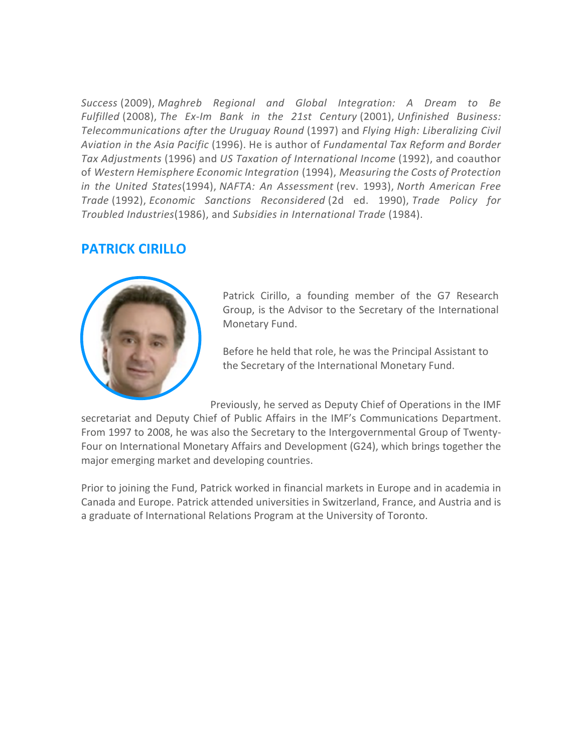*Success* (2009), *Maghreb Regional and Global Integration: A Dream to Be Fulfilled* (2008), *The Ex-Im Bank in the 21st Century* (2001), *Unfinished Business: Telecommunications after the Uruguay Round* (1997) and *Flying High: Liberalizing Civil Aviation in the Asia Pacific* (1996). He is author of *Fundamental Tax Reform and Border Tax Adjustments* (1996) and *US Taxation of International Income* (1992), and coauthor of *Western Hemisphere Economic Integration* (1994), *Measuring the Costs of Protection in the United States*(1994), *NAFTA: An Assessment* (rev. 1993), *North American Free Trade* (1992), *Economic Sanctions Reconsidered* (2d ed. 1990), *Trade Policy for Troubled Industries*(1986), and *Subsidies in International Trade* (1984).

#### **PATRICK CIRILLO**



Patrick Cirillo, a founding member of the G7 Research Group, is the Advisor to the Secretary of the International Monetary Fund.

Before he held that role, he was the Principal Assistant to the Secretary of the International Monetary Fund.

Previously, he served as Deputy Chief of Operations in the IMF

secretariat and Deputy Chief of Public Affairs in the IMF's Communications Department. From 1997 to 2008, he was also the Secretary to the Intergovernmental Group of Twenty-Four on International Monetary Affairs and Development (G24), which brings together the major emerging market and developing countries.

Prior to joining the Fund, Patrick worked in financial markets in Europe and in academia in Canada and Europe. Patrick attended universities in Switzerland, France, and Austria and is a graduate of International Relations Program at the University of Toronto.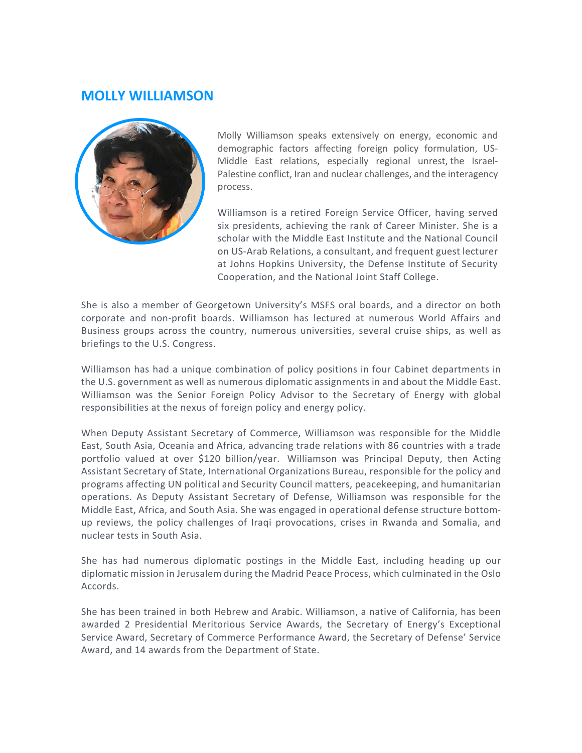#### **MOLLY WILLIAMSON**



Molly Williamson speaks extensively on energy, economic and demographic factors affecting foreign policy formulation, US-Middle East relations, especially regional unrest, the Israel-Palestine conflict, Iran and nuclear challenges, and the interagency process.

Williamson is a retired Foreign Service Officer, having served six presidents, achieving the rank of Career Minister. She is a scholar with the Middle East Institute and the National Council on US-Arab Relations, a consultant, and frequent guest lecturer at Johns Hopkins University, the Defense Institute of Security Cooperation, and the National Joint Staff College.

She is also a member of Georgetown University's MSFS oral boards, and a director on both corporate and non-profit boards. Williamson has lectured at numerous World Affairs and Business groups across the country, numerous universities, several cruise ships, as well as briefings to the U.S. Congress.

Williamson has had a unique combination of policy positions in four Cabinet departments in the U.S. government as well as numerous diplomatic assignments in and about the Middle East. Williamson was the Senior Foreign Policy Advisor to the Secretary of Energy with global responsibilities at the nexus of foreign policy and energy policy.

When Deputy Assistant Secretary of Commerce, Williamson was responsible for the Middle East, South Asia, Oceania and Africa, advancing trade relations with 86 countries with a trade portfolio valued at over \$120 billion/year. Williamson was Principal Deputy, then Acting Assistant Secretary of State, International Organizations Bureau, responsible for the policy and programs affecting UN political and Security Council matters, peacekeeping, and humanitarian operations. As Deputy Assistant Secretary of Defense, Williamson was responsible for the Middle East, Africa, and South Asia. She was engaged in operational defense structure bottomup reviews, the policy challenges of Iraqi provocations, crises in Rwanda and Somalia, and nuclear tests in South Asia.

She has had numerous diplomatic postings in the Middle East, including heading up our diplomatic mission in Jerusalem during the Madrid Peace Process, which culminated in the Oslo Accords.

She has been trained in both Hebrew and Arabic. Williamson, a native of California, has been awarded 2 Presidential Meritorious Service Awards, the Secretary of Energy's Exceptional Service Award, Secretary of Commerce Performance Award, the Secretary of Defense' Service Award, and 14 awards from the Department of State.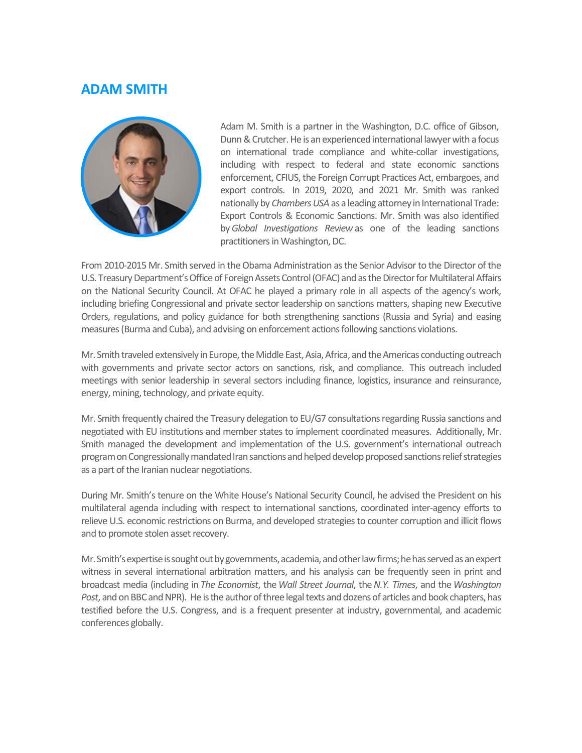## **ADAM SMITH**



Adam M. Smith is a partner in the Washington, D.C. office of Gibson, Dunn & Crutcher. He is an experienced international lawyer with a focus on international trade compliance and white-collar investigations, including with respect to federal and state economic sanctions enforcement, CFIUS, the Foreign Corrupt Practices Act, embargoes, and export controls. In 2019, 2020, and 2021 Mr. Smith was ranked nationally by *Chambers USA* as a leading attorney in International Trade: Export Controls & Economic Sanctions. Mr. Smith was also identified by*Global Investigations Review* as one of the leading sanctions practitioners in Washington, DC.

From 2010-2015 Mr. Smith served in the Obama Administration as the Senior Advisor to the Director of the U.S. Treasury Department's Office of Foreign Assets Control (OFAC) and as the Director for Multilateral Affairs on the National Security Council. At OFAC he played a primary role in all aspects of the agency's work, including briefing Congressional and private sector leadership on sanctions matters, shaping new Executive Orders, regulations, and policy guidance for both strengthening sanctions (Russia and Syria) and easing measures (Burma and Cuba), and advising on enforcement actions following sanctions violations.

Mr. Smith traveled extensively in Europe, the Middle East, Asia, Africa, and the Americas conducting outreach with governments and private sector actors on sanctions, risk, and compliance. This outreach included meetings with senior leadership in several sectors including finance, logistics, insurance and reinsurance, energy, mining, technology, and private equity.

Mr. Smith frequently chaired the Treasury delegation to EU/G7 consultations regarding Russia sanctions and negotiated with EU institutions and member states to implement coordinated measures. Additionally, Mr. Smith managed the development and implementation of the U.S. government's international outreach program on Congressionally mandated Iran sanctions and helped develop proposed sanctions relief strategies as a part of the Iranian nuclear negotiations.

During Mr. Smith's tenure on the White House's National Security Council, he advised the President on his multilateral agenda including with respect to international sanctions, coordinated inter-agency efforts to relieve U.S. economic restrictions on Burma, and developed strategies to counter corruption and illicit flows and to promote stolen asset recovery.

Mr. Smith's expertise is sought out by governments, academia, and other law firms; he has served as an expert witness in several international arbitration matters, and his analysis can be frequently seen in print and broadcast media (including in *The Economist*, the *Wall Street Journal*, the*N.Y. Times*, and the *Washington Post*, and on BBC and NPR). He is the author of three legal texts and dozens of articles and book chapters, has testified before the U.S. Congress, and is a frequent presenter at industry, governmental, and academic conferences globally.